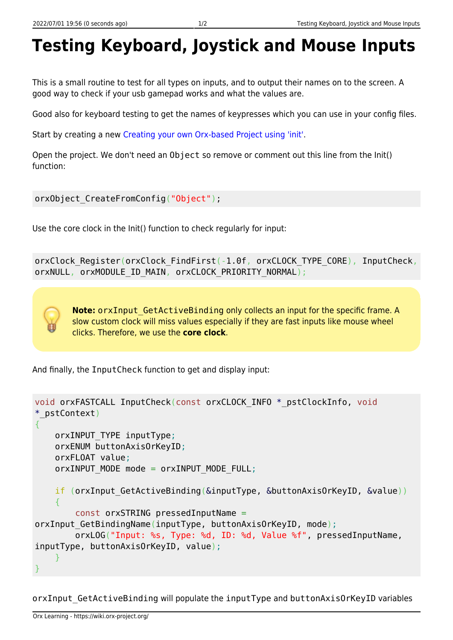## **Testing Keyboard, Joystick and Mouse Inputs**

This is a small routine to test for all types on inputs, and to output their names on to the screen. A good way to check if your usb gamepad works and what the values are.

Good also for keyboard testing to get the names of keypresses which you can use in your config files.

Start by creating a new [Creating your own Orx-based Project using 'init'](https://wiki.orx-project.org/en/tutorials/projects/creating_your_own_project).

Open the project. We don't need an Object so remove or comment out this line from the Init() function:

```
orxObject CreateFromConfig("Object");
```
Use the core clock in the Init() function to check regularly for input:

orxClock\_Register(orxClock\_FindFirst(-1.0f, orxCLOCK\_TYPE\_CORE), InputCheck, orxNULL, orxMODULE\_ID\_MAIN, orxCLOCK\_PRIORITY\_NORMAL);

**Note:** orxInput GetActiveBinding only collects an input for the specific frame. A slow custom clock will miss values especially if they are fast inputs like mouse wheel clicks. Therefore, we use the **core clock**.

And finally, the InputCheck function to get and display input:

```
void orxFASTCALL InputCheck(const orxCLOCK_INFO *_pstClockInfo, void
*_pstContext)
{
    orxINPUT_TYPE inputType;
     orxENUM buttonAxisOrKeyID;
     orxFLOAT value;
    orxINPUT MODE mode = orxINPUT MODE FULL;
   if (orxInput GetActiveBinding(&inputType, &buttonAxisOrKeyID, &value))
     {
         const orxSTRING pressedInputName =
orxInput GetBindingName(inputType, buttonAxisOrKeyID, mode);
         orxLOG("Input: %s, Type: %d, ID: %d, Value %f", pressedInputName,
inputType, buttonAxisOrKeyID, value);
 }
}
```
orxInput GetActiveBinding will populate the inputType and buttonAxisOrKeyID variables